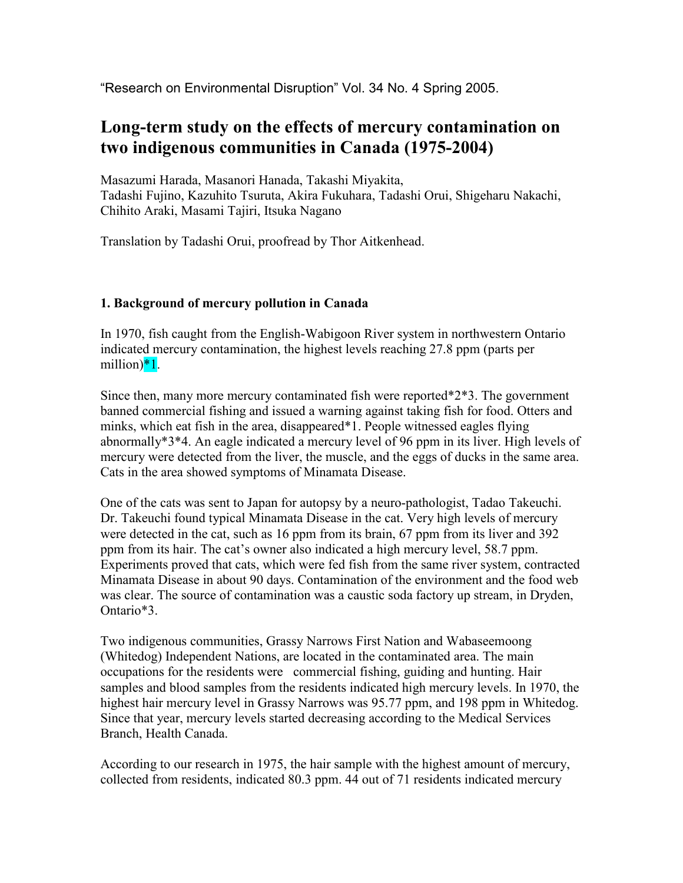"Research on Environmental Disruption" Vol. 34 No. 4 Spring 2005.

# **Long-term study on the effects of mercury contamination on two indigenous communities in Canada (1975-2004)**

Masazumi Harada, Masanori Hanada, Takashi Miyakita, Tadashi Fujino, Kazuhito Tsuruta, Akira Fukuhara, Tadashi Orui, Shigeharu Nakachi, Chihito Araki, Masami Tajiri, Itsuka Nagano

Translation by Tadashi Orui, proofread by Thor Aitkenhead.

## **1. Background of mercury pollution in Canada**

In 1970, fish caught from the English-Wabigoon River system in northwestern Ontario indicated mercury contamination, the highest levels reaching 27.8 ppm (parts per million)<sup>\*1</sup>.

Since then, many more mercury contaminated fish were reported\*2\*3. The government banned commercial fishing and issued a warning against taking fish for food. Otters and minks, which eat fish in the area, disappeared\*1. People witnessed eagles flying abnormally\*3\*4. An eagle indicated a mercury level of 96 ppm in its liver. High levels of mercury were detected from the liver, the muscle, and the eggs of ducks in the same area. Cats in the area showed symptoms of Minamata Disease.

One of the cats was sent to Japan for autopsy by a neuro-pathologist, Tadao Takeuchi. Dr. Takeuchi found typical Minamata Disease in the cat. Very high levels of mercury were detected in the cat, such as 16 ppm from its brain, 67 ppm from its liver and 392 ppm from its hair. The cat's owner also indicated a high mercury level, 58.7 ppm. Experiments proved that cats, which were fed fish from the same river system, contracted Minamata Disease in about 90 days. Contamination of the environment and the food web was clear. The source of contamination was a caustic soda factory up stream, in Dryden, Ontario\*3.

Two indigenous communities, Grassy Narrows First Nation and Wabaseemoong (Whitedog) Independent Nations, are located in the contaminated area. The main occupations for the residents were commercial fishing, guiding and hunting. Hair samples and blood samples from the residents indicated high mercury levels. In 1970, the highest hair mercury level in Grassy Narrows was 95.77 ppm, and 198 ppm in Whitedog. Since that year, mercury levels started decreasing according to the Medical Services Branch, Health Canada.

According to our research in 1975, the hair sample with the highest amount of mercury, collected from residents, indicated 80.3 ppm. 44 out of 71 residents indicated mercury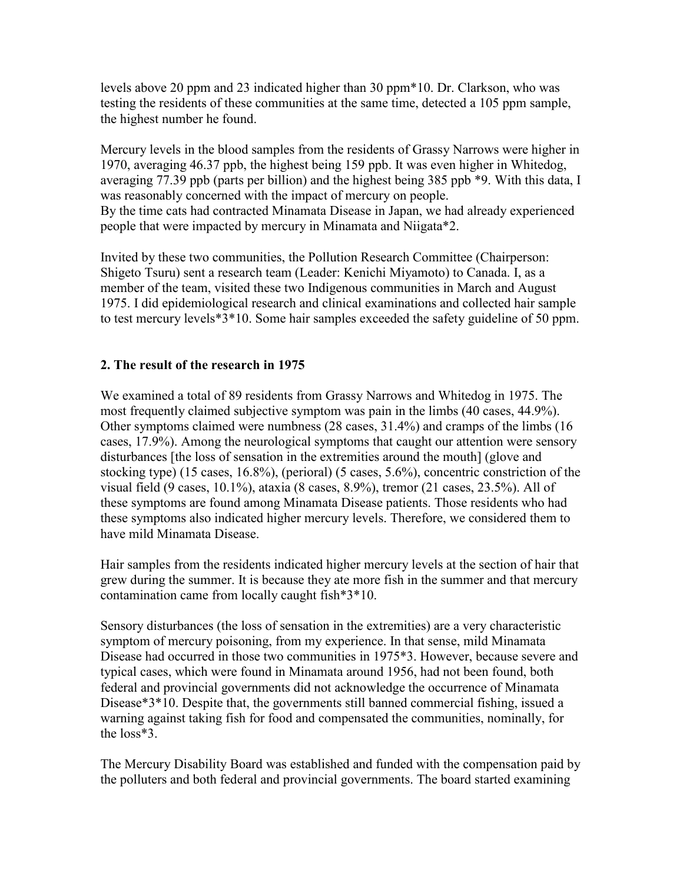levels above 20 ppm and 23 indicated higher than 30 ppm\*10. Dr. Clarkson, who was testing the residents of these communities at the same time, detected a 105 ppm sample, the highest number he found.

Mercury levels in the blood samples from the residents of Grassy Narrows were higher in 1970, averaging 46.37 ppb, the highest being 159 ppb. It was even higher in Whitedog, averaging 77.39 ppb (parts per billion) and the highest being 385 ppb \*9. With this data, I was reasonably concerned with the impact of mercury on people. By the time cats had contracted Minamata Disease in Japan, we had already experienced people that were impacted by mercury in Minamata and Niigata\*2.

Invited by these two communities, the Pollution Research Committee (Chairperson: Shigeto Tsuru) sent a research team (Leader: Kenichi Miyamoto) to Canada. I, as a member of the team, visited these two Indigenous communities in March and August 1975. I did epidemiological research and clinical examinations and collected hair sample to test mercury levels\*3\*10. Some hair samples exceeded the safety guideline of 50 ppm.

## **2. The result of the research in 1975**

We examined a total of 89 residents from Grassy Narrows and Whitedog in 1975. The most frequently claimed subjective symptom was pain in the limbs (40 cases, 44.9%). Other symptoms claimed were numbness (28 cases, 31.4%) and cramps of the limbs (16 cases, 17.9%). Among the neurological symptoms that caught our attention were sensory disturbances [the loss of sensation in the extremities around the mouth] (glove and stocking type) (15 cases, 16.8%), (perioral) (5 cases, 5.6%), concentric constriction of the visual field (9 cases, 10.1%), ataxia (8 cases, 8.9%), tremor (21 cases, 23.5%). All of these symptoms are found among Minamata Disease patients. Those residents who had these symptoms also indicated higher mercury levels. Therefore, we considered them to have mild Minamata Disease.

Hair samples from the residents indicated higher mercury levels at the section of hair that grew during the summer. It is because they ate more fish in the summer and that mercury contamination came from locally caught fish\*3\*10.

Sensory disturbances (the loss of sensation in the extremities) are a very characteristic symptom of mercury poisoning, from my experience. In that sense, mild Minamata Disease had occurred in those two communities in 1975\*3. However, because severe and typical cases, which were found in Minamata around 1956, had not been found, both federal and provincial governments did not acknowledge the occurrence of Minamata Disease\*3\*10. Despite that, the governments still banned commercial fishing, issued a warning against taking fish for food and compensated the communities, nominally, for the loss\*3.

The Mercury Disability Board was established and funded with the compensation paid by the polluters and both federal and provincial governments. The board started examining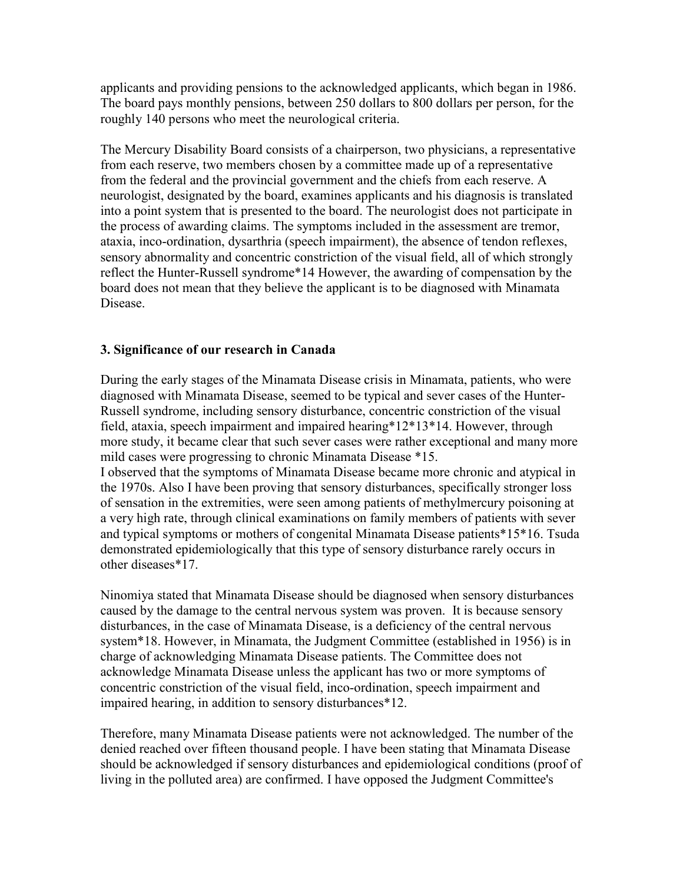applicants and providing pensions to the acknowledged applicants, which began in 1986. The board pays monthly pensions, between 250 dollars to 800 dollars per person, for the roughly 140 persons who meet the neurological criteria.

The Mercury Disability Board consists of a chairperson, two physicians, a representative from each reserve, two members chosen by a committee made up of a representative from the federal and the provincial government and the chiefs from each reserve. A neurologist, designated by the board, examines applicants and his diagnosis is translated into a point system that is presented to the board. The neurologist does not participate in the process of awarding claims. The symptoms included in the assessment are tremor, ataxia, inco-ordination, dysarthria (speech impairment), the absence of tendon reflexes, sensory abnormality and concentric constriction of the visual field, all of which strongly reflect the Hunter-Russell syndrome\*14 However, the awarding of compensation by the board does not mean that they believe the applicant is to be diagnosed with Minamata Disease.

## **3. Significance of our research in Canada**

During the early stages of the Minamata Disease crisis in Minamata, patients, who were diagnosed with Minamata Disease, seemed to be typical and sever cases of the Hunter-Russell syndrome, including sensory disturbance, concentric constriction of the visual field, ataxia, speech impairment and impaired hearing\*12\*13\*14. However, through more study, it became clear that such sever cases were rather exceptional and many more mild cases were progressing to chronic Minamata Disease \*15. I observed that the symptoms of Minamata Disease became more chronic and atypical in the 1970s. Also I have been proving that sensory disturbances, specifically stronger loss of sensation in the extremities, were seen among patients of methylmercury poisoning at

a very high rate, through clinical examinations on family members of patients with sever and typical symptoms or mothers of congenital Minamata Disease patients\*15\*16. Tsuda demonstrated epidemiologically that this type of sensory disturbance rarely occurs in other diseases\*17.

Ninomiya stated that Minamata Disease should be diagnosed when sensory disturbances caused by the damage to the central nervous system was proven. It is because sensory disturbances, in the case of Minamata Disease, is a deficiency of the central nervous system\*18. However, in Minamata, the Judgment Committee (established in 1956) is in charge of acknowledging Minamata Disease patients. The Committee does not acknowledge Minamata Disease unless the applicant has two or more symptoms of concentric constriction of the visual field, inco-ordination, speech impairment and impaired hearing, in addition to sensory disturbances\*12.

Therefore, many Minamata Disease patients were not acknowledged. The number of the denied reached over fifteen thousand people. I have been stating that Minamata Disease should be acknowledged if sensory disturbances and epidemiological conditions (proof of living in the polluted area) are confirmed. I have opposed the Judgment Committee's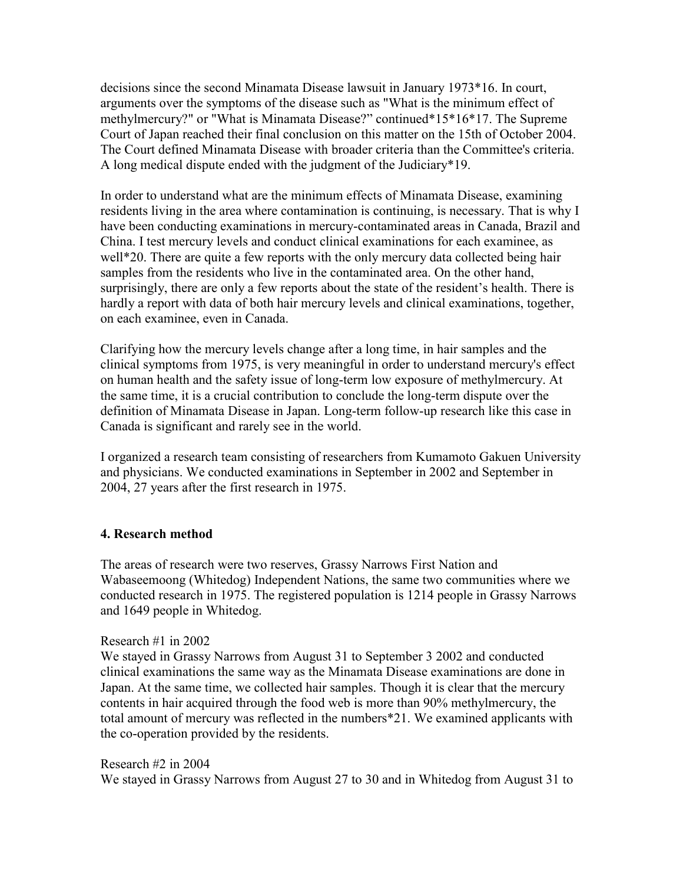decisions since the second Minamata Disease lawsuit in January 1973\*16. In court, arguments over the symptoms of the disease such as "What is the minimum effect of methylmercury?" or "What is Minamata Disease?" continued\*15\*16\*17. The Supreme Court of Japan reached their final conclusion on this matter on the 15th of October 2004. The Court defined Minamata Disease with broader criteria than the Committee's criteria. A long medical dispute ended with the judgment of the Judiciary\*19.

In order to understand what are the minimum effects of Minamata Disease, examining residents living in the area where contamination is continuing, is necessary. That is why I have been conducting examinations in mercury-contaminated areas in Canada, Brazil and China. I test mercury levels and conduct clinical examinations for each examinee, as well\*20. There are quite a few reports with the only mercury data collected being hair samples from the residents who live in the contaminated area. On the other hand, surprisingly, there are only a few reports about the state of the resident's health. There is hardly a report with data of both hair mercury levels and clinical examinations, together, on each examinee, even in Canada.

Clarifying how the mercury levels change after a long time, in hair samples and the clinical symptoms from 1975, is very meaningful in order to understand mercury's effect on human health and the safety issue of long-term low exposure of methylmercury. At the same time, it is a crucial contribution to conclude the long-term dispute over the definition of Minamata Disease in Japan. Long-term follow-up research like this case in Canada is significant and rarely see in the world.

I organized a research team consisting of researchers from Kumamoto Gakuen University and physicians. We conducted examinations in September in 2002 and September in 2004, 27 years after the first research in 1975.

#### **4. Research method**

The areas of research were two reserves, Grassy Narrows First Nation and Wabaseemoong (Whitedog) Independent Nations, the same two communities where we conducted research in 1975. The registered population is 1214 people in Grassy Narrows and 1649 people in Whitedog.

#### Research #1 in 2002

We stayed in Grassy Narrows from August 31 to September 3 2002 and conducted clinical examinations the same way as the Minamata Disease examinations are done in Japan. At the same time, we collected hair samples. Though it is clear that the mercury contents in hair acquired through the food web is more than 90% methylmercury, the total amount of mercury was reflected in the numbers\*21. We examined applicants with the co-operation provided by the residents.

Research #2 in 2004 We stayed in Grassy Narrows from August 27 to 30 and in Whitedog from August 31 to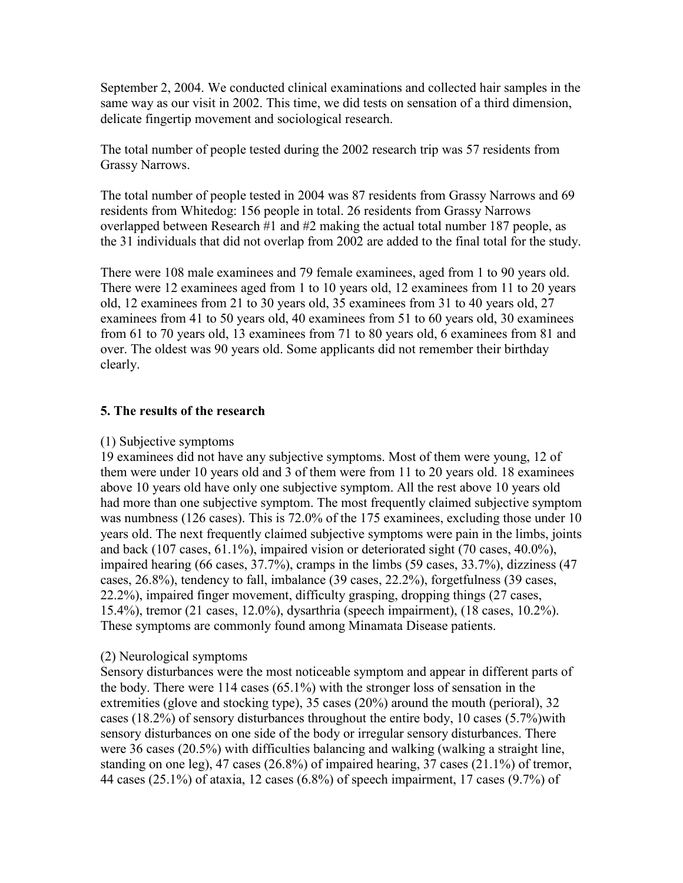September 2, 2004. We conducted clinical examinations and collected hair samples in the same way as our visit in 2002. This time, we did tests on sensation of a third dimension, delicate fingertip movement and sociological research.

The total number of people tested during the 2002 research trip was 57 residents from Grassy Narrows.

The total number of people tested in 2004 was 87 residents from Grassy Narrows and 69 residents from Whitedog: 156 people in total. 26 residents from Grassy Narrows overlapped between Research #1 and #2 making the actual total number 187 people, as the 31 individuals that did not overlap from 2002 are added to the final total for the study.

There were 108 male examinees and 79 female examinees, aged from 1 to 90 years old. There were 12 examinees aged from 1 to 10 years old, 12 examinees from 11 to 20 years old, 12 examinees from 21 to 30 years old, 35 examinees from 31 to 40 years old, 27 examinees from 41 to 50 years old, 40 examinees from 51 to 60 years old, 30 examinees from 61 to 70 years old, 13 examinees from 71 to 80 years old, 6 examinees from 81 and over. The oldest was 90 years old. Some applicants did not remember their birthday clearly.

## **5. The results of the research**

#### (1) Subjective symptoms

19 examinees did not have any subjective symptoms. Most of them were young, 12 of them were under 10 years old and 3 of them were from 11 to 20 years old. 18 examinees above 10 years old have only one subjective symptom. All the rest above 10 years old had more than one subjective symptom. The most frequently claimed subjective symptom was numbness (126 cases). This is 72.0% of the 175 examinees, excluding those under 10 years old. The next frequently claimed subjective symptoms were pain in the limbs, joints and back (107 cases, 61.1%), impaired vision or deteriorated sight (70 cases, 40.0%), impaired hearing (66 cases, 37.7%), cramps in the limbs (59 cases, 33.7%), dizziness (47 cases, 26.8%), tendency to fall, imbalance (39 cases, 22.2%), forgetfulness (39 cases, 22.2%), impaired finger movement, difficulty grasping, dropping things (27 cases, 15.4%), tremor (21 cases, 12.0%), dysarthria (speech impairment), (18 cases, 10.2%). These symptoms are commonly found among Minamata Disease patients.

#### (2) Neurological symptoms

Sensory disturbances were the most noticeable symptom and appear in different parts of the body. There were 114 cases (65.1%) with the stronger loss of sensation in the extremities (glove and stocking type), 35 cases (20%) around the mouth (perioral), 32 cases (18.2%) of sensory disturbances throughout the entire body, 10 cases (5.7%)with sensory disturbances on one side of the body or irregular sensory disturbances. There were 36 cases (20.5%) with difficulties balancing and walking (walking a straight line, standing on one leg), 47 cases (26.8%) of impaired hearing, 37 cases (21.1%) of tremor, 44 cases  $(25.1\%)$  of ataxia, 12 cases  $(6.8\%)$  of speech impairment, 17 cases  $(9.7\%)$  of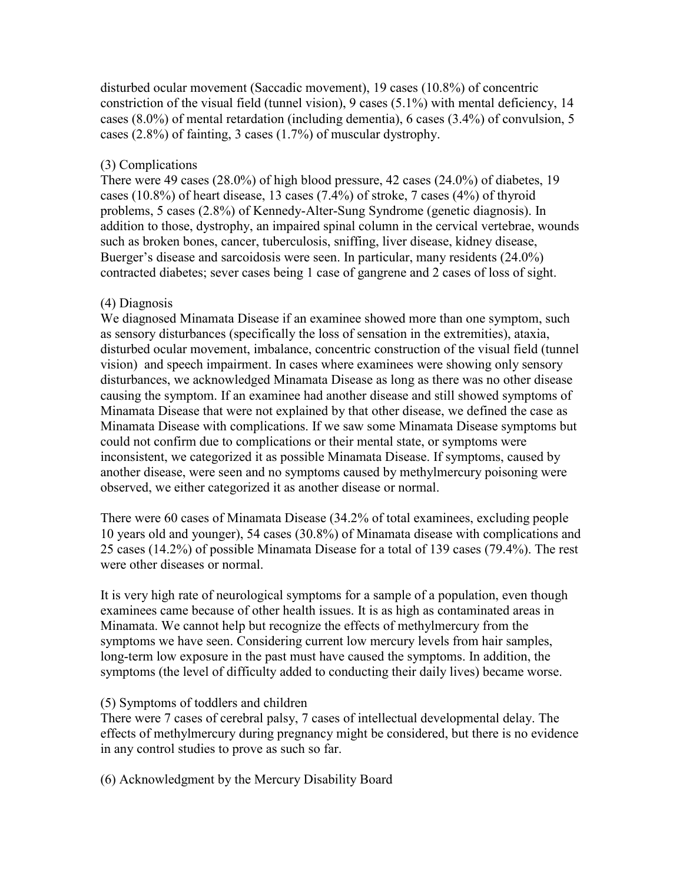disturbed ocular movement (Saccadic movement), 19 cases (10.8%) of concentric constriction of the visual field (tunnel vision), 9 cases (5.1%) with mental deficiency, 14 cases (8.0%) of mental retardation (including dementia), 6 cases (3.4%) of convulsion, 5 cases (2.8%) of fainting, 3 cases (1.7%) of muscular dystrophy.

## (3) Complications

There were 49 cases (28.0%) of high blood pressure, 42 cases (24.0%) of diabetes, 19 cases (10.8%) of heart disease, 13 cases (7.4%) of stroke, 7 cases (4%) of thyroid problems, 5 cases (2.8%) of Kennedy-Alter-Sung Syndrome (genetic diagnosis). In addition to those, dystrophy, an impaired spinal column in the cervical vertebrae, wounds such as broken bones, cancer, tuberculosis, sniffing, liver disease, kidney disease, Buerger's disease and sarcoidosis were seen. In particular, many residents (24.0%) contracted diabetes; sever cases being 1 case of gangrene and 2 cases of loss of sight.

## (4) Diagnosis

We diagnosed Minamata Disease if an examinee showed more than one symptom, such as sensory disturbances (specifically the loss of sensation in the extremities), ataxia, disturbed ocular movement, imbalance, concentric construction of the visual field (tunnel vision) and speech impairment. In cases where examinees were showing only sensory disturbances, we acknowledged Minamata Disease as long as there was no other disease causing the symptom. If an examinee had another disease and still showed symptoms of Minamata Disease that were not explained by that other disease, we defined the case as Minamata Disease with complications. If we saw some Minamata Disease symptoms but could not confirm due to complications or their mental state, or symptoms were inconsistent, we categorized it as possible Minamata Disease. If symptoms, caused by another disease, were seen and no symptoms caused by methylmercury poisoning were observed, we either categorized it as another disease or normal.

There were 60 cases of Minamata Disease (34.2% of total examinees, excluding people 10 years old and younger), 54 cases (30.8%) of Minamata disease with complications and 25 cases (14.2%) of possible Minamata Disease for a total of 139 cases (79.4%). The rest were other diseases or normal.

It is very high rate of neurological symptoms for a sample of a population, even though examinees came because of other health issues. It is as high as contaminated areas in Minamata. We cannot help but recognize the effects of methylmercury from the symptoms we have seen. Considering current low mercury levels from hair samples, long-term low exposure in the past must have caused the symptoms. In addition, the symptoms (the level of difficulty added to conducting their daily lives) became worse.

## (5) Symptoms of toddlers and children

There were 7 cases of cerebral palsy, 7 cases of intellectual developmental delay. The effects of methylmercury during pregnancy might be considered, but there is no evidence in any control studies to prove as such so far.

(6) Acknowledgment by the Mercury Disability Board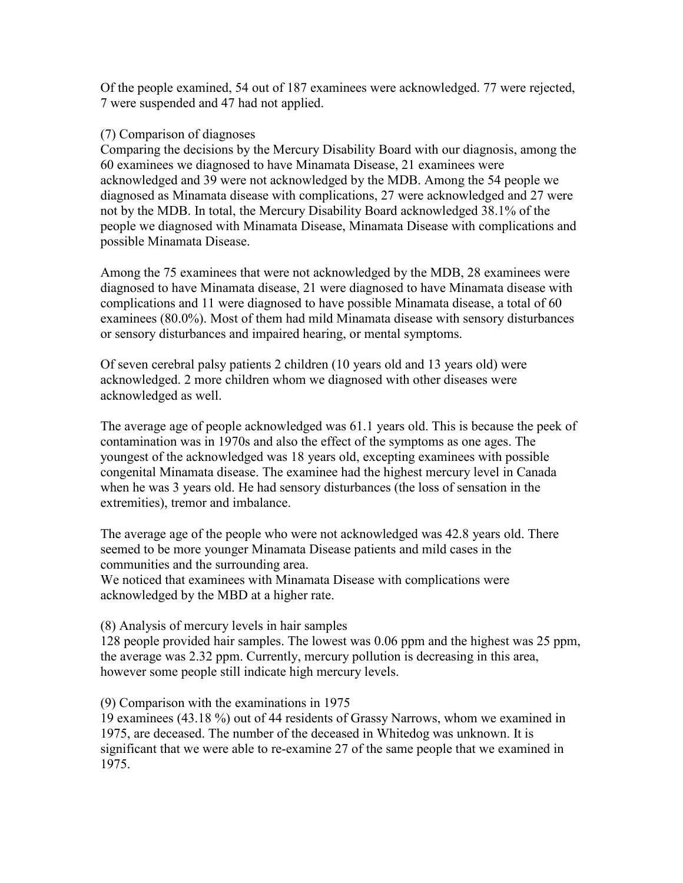Of the people examined, 54 out of 187 examinees were acknowledged. 77 were rejected, 7 were suspended and 47 had not applied.

#### (7) Comparison of diagnoses

Comparing the decisions by the Mercury Disability Board with our diagnosis, among the 60 examinees we diagnosed to have Minamata Disease, 21 examinees were acknowledged and 39 were not acknowledged by the MDB. Among the 54 people we diagnosed as Minamata disease with complications, 27 were acknowledged and 27 were not by the MDB. In total, the Mercury Disability Board acknowledged 38.1% of the people we diagnosed with Minamata Disease, Minamata Disease with complications and possible Minamata Disease.

Among the 75 examinees that were not acknowledged by the MDB, 28 examinees were diagnosed to have Minamata disease, 21 were diagnosed to have Minamata disease with complications and 11 were diagnosed to have possible Minamata disease, a total of 60 examinees (80.0%). Most of them had mild Minamata disease with sensory disturbances or sensory disturbances and impaired hearing, or mental symptoms.

Of seven cerebral palsy patients 2 children (10 years old and 13 years old) were acknowledged. 2 more children whom we diagnosed with other diseases were acknowledged as well.

The average age of people acknowledged was 61.1 years old. This is because the peek of contamination was in 1970s and also the effect of the symptoms as one ages. The youngest of the acknowledged was 18 years old, excepting examinees with possible congenital Minamata disease. The examinee had the highest mercury level in Canada when he was 3 years old. He had sensory disturbances (the loss of sensation in the extremities), tremor and imbalance.

The average age of the people who were not acknowledged was 42.8 years old. There seemed to be more younger Minamata Disease patients and mild cases in the communities and the surrounding area.

We noticed that examinees with Minamata Disease with complications were acknowledged by the MBD at a higher rate.

#### (8) Analysis of mercury levels in hair samples

128 people provided hair samples. The lowest was 0.06 ppm and the highest was 25 ppm, the average was 2.32 ppm. Currently, mercury pollution is decreasing in this area, however some people still indicate high mercury levels.

#### (9) Comparison with the examinations in 1975

19 examinees (43.18 %) out of 44 residents of Grassy Narrows, whom we examined in 1975, are deceased. The number of the deceased in Whitedog was unknown. It is significant that we were able to re-examine 27 of the same people that we examined in 1975.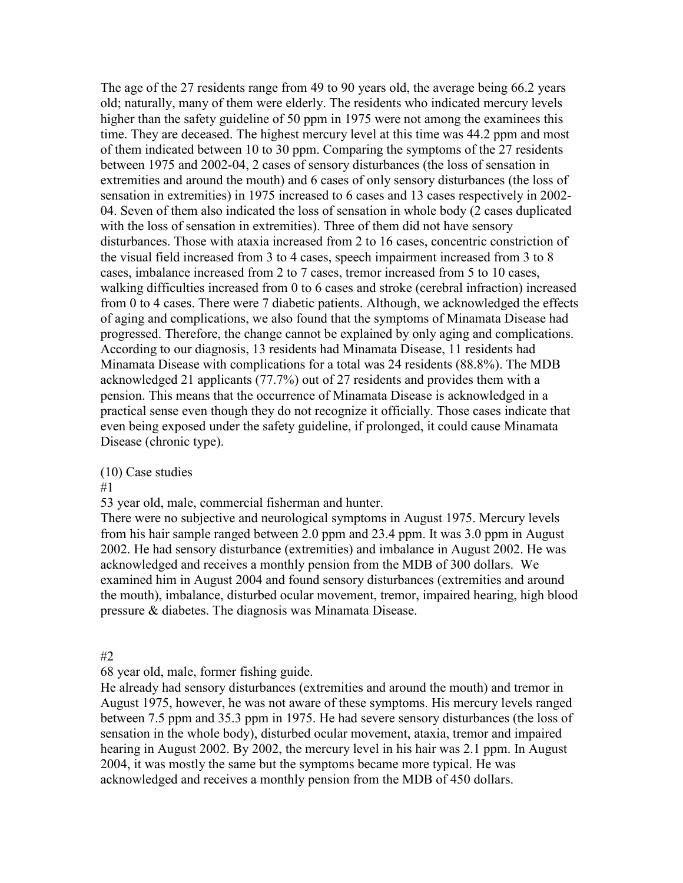The age of the 27 residents range from 49 to 90 years old, the average being 66.2 years old; naturally, many of them were elderly. The residents who indicated mercury levels higher than the safety guideline of 50 ppm in 1975 were not among the examinees this time. They are deceased. The highest mercury level at this time was 44.2 ppm and most of them indicated between 10 to 30 ppm. Comparing the symptoms of the 27 residents between 1975 and 2002-04, 2 cases of sensory disturbances (the loss of sensation in extremities and around the mouth) and 6 cases of only sensory disturbances (the loss of sensation in extremities) in 1975 increased to 6 cases and 13 cases respectively in 2002- 04. Seven of them also indicated the loss of sensation in whole body (2 cases duplicated with the loss of sensation in extremities). Three of them did not have sensory disturbances. Those with ataxia increased from 2 to 16 cases, concentric constriction of the visual field increased from 3 to 4 cases, speech impairment increased from 3 to 8 cases, imbalance increased from 2 to 7 cases, tremor increased from 5 to 10 cases, walking difficulties increased from 0 to 6 cases and stroke (cerebral infraction) increased from 0 to 4 cases. There were 7 diabetic patients. Although, we acknowledged the effects of aging and complications, we also found that the symptoms of Minamata Disease had progressed. Therefore, the change cannot be explained by only aging and complications. According to our diagnosis, 13 residents had Minamata Disease, 11 residents had Minamata Disease with complications for a total was 24 residents (88.8%). The MDB acknowledged 21 applicants (77.7%) out of 27 residents and provides them with a pension. This means that the occurrence of Minamata Disease is acknowledged in a practical sense even though they do not recognize it officially. Those cases indicate that even being exposed under the safety guideline, if prolonged, it could cause Minamata Disease (chronic type).

(10) Case studies

#1

53 year old, male, commercial fisherman and hunter.

There were no subjective and neurological symptoms in August 1975. Mercury levels from his hair sample ranged between 2.0 ppm and 23.4 ppm. It was 3.0 ppm in August 2002. He had sensory disturbance (extremities) and imbalance in August 2002. He was acknowledged and receives a monthly pension from the MDB of 300 dollars. We examined him in August 2004 and found sensory disturbances (extremities and around the mouth), imbalance, disturbed ocular movement, tremor, impaired hearing, high blood pressure & diabetes. The diagnosis was Minamata Disease.

#2

68 year old, male, former fishing guide.

He already had sensory disturbances (extremities and around the mouth) and tremor in August 1975, however, he was not aware of these symptoms. His mercury levels ranged between 7.5 ppm and 35.3 ppm in 1975. He had severe sensory disturbances (the loss of sensation in the whole body), disturbed ocular movement, ataxia, tremor and impaired hearing in August 2002. By 2002, the mercury level in his hair was 2.1 ppm. In August 2004, it was mostly the same but the symptoms became more typical. He was acknowledged and receives a monthly pension from the MDB of 450 dollars.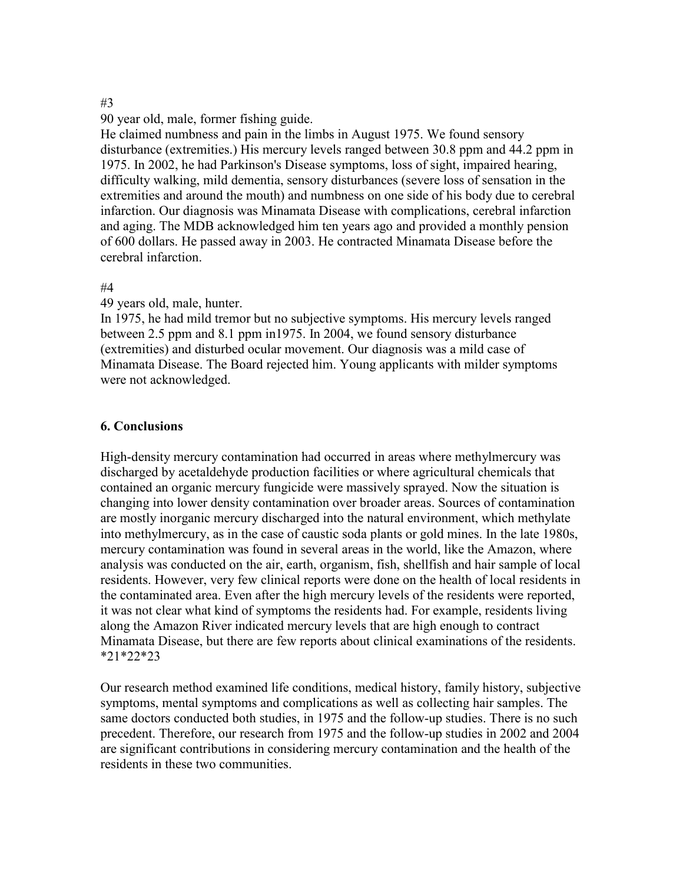#### #3

90 year old, male, former fishing guide.

He claimed numbness and pain in the limbs in August 1975. We found sensory disturbance (extremities.) His mercury levels ranged between 30.8 ppm and 44.2 ppm in 1975. In 2002, he had Parkinson's Disease symptoms, loss of sight, impaired hearing, difficulty walking, mild dementia, sensory disturbances (severe loss of sensation in the extremities and around the mouth) and numbness on one side of his body due to cerebral infarction. Our diagnosis was Minamata Disease with complications, cerebral infarction and aging. The MDB acknowledged him ten years ago and provided a monthly pension of 600 dollars. He passed away in 2003. He contracted Minamata Disease before the cerebral infarction.

## #4

49 years old, male, hunter.

In 1975, he had mild tremor but no subjective symptoms. His mercury levels ranged between 2.5 ppm and 8.1 ppm in1975. In 2004, we found sensory disturbance (extremities) and disturbed ocular movement. Our diagnosis was a mild case of Minamata Disease. The Board rejected him. Young applicants with milder symptoms were not acknowledged.

## **6. Conclusions**

High-density mercury contamination had occurred in areas where methylmercury was discharged by acetaldehyde production facilities or where agricultural chemicals that contained an organic mercury fungicide were massively sprayed. Now the situation is changing into lower density contamination over broader areas. Sources of contamination are mostly inorganic mercury discharged into the natural environment, which methylate into methylmercury, as in the case of caustic soda plants or gold mines. In the late 1980s, mercury contamination was found in several areas in the world, like the Amazon, where analysis was conducted on the air, earth, organism, fish, shellfish and hair sample of local residents. However, very few clinical reports were done on the health of local residents in the contaminated area. Even after the high mercury levels of the residents were reported, it was not clear what kind of symptoms the residents had. For example, residents living along the Amazon River indicated mercury levels that are high enough to contract Minamata Disease, but there are few reports about clinical examinations of the residents. \*21\*22\*23

Our research method examined life conditions, medical history, family history, subjective symptoms, mental symptoms and complications as well as collecting hair samples. The same doctors conducted both studies, in 1975 and the follow-up studies. There is no such precedent. Therefore, our research from 1975 and the follow-up studies in 2002 and 2004 are significant contributions in considering mercury contamination and the health of the residents in these two communities.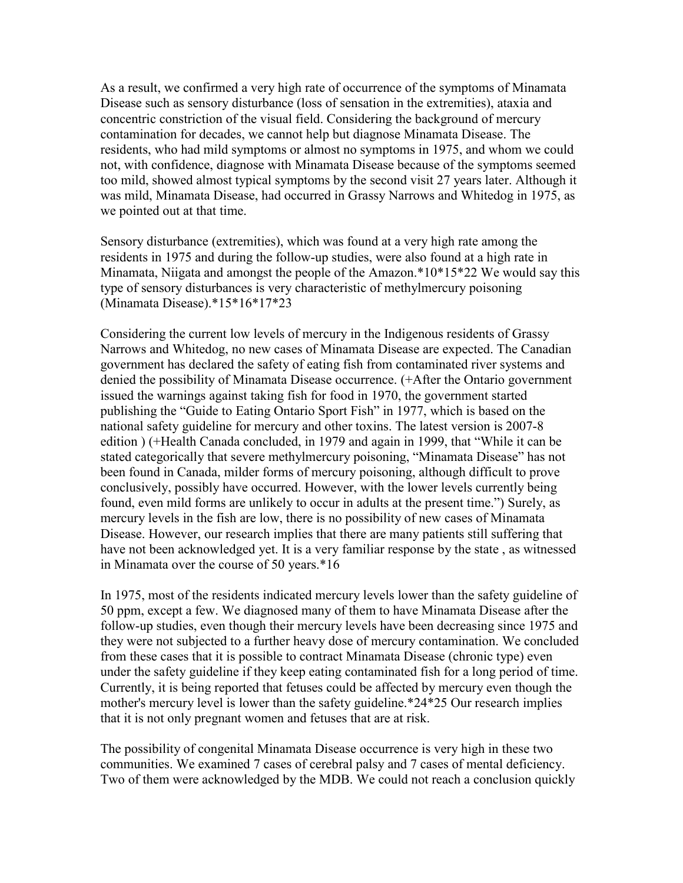As a result, we confirmed a very high rate of occurrence of the symptoms of Minamata Disease such as sensory disturbance (loss of sensation in the extremities), ataxia and concentric constriction of the visual field. Considering the background of mercury contamination for decades, we cannot help but diagnose Minamata Disease. The residents, who had mild symptoms or almost no symptoms in 1975, and whom we could not, with confidence, diagnose with Minamata Disease because of the symptoms seemed too mild, showed almost typical symptoms by the second visit 27 years later. Although it was mild, Minamata Disease, had occurred in Grassy Narrows and Whitedog in 1975, as we pointed out at that time.

Sensory disturbance (extremities), which was found at a very high rate among the residents in 1975 and during the follow-up studies, were also found at a high rate in Minamata, Niigata and amongst the people of the Amazon.\*10\*15\*22 We would say this type of sensory disturbances is very characteristic of methylmercury poisoning (Minamata Disease).\*15\*16\*17\*23

Considering the current low levels of mercury in the Indigenous residents of Grassy Narrows and Whitedog, no new cases of Minamata Disease are expected. The Canadian government has declared the safety of eating fish from contaminated river systems and denied the possibility of Minamata Disease occurrence. (+After the Ontario government issued the warnings against taking fish for food in 1970, the government started publishing the "Guide to Eating Ontario Sport Fish" in 1977, which is based on the national safety guideline for mercury and other toxins. The latest version is 2007-8 edition ) (+Health Canada concluded, in 1979 and again in 1999, that "While it can be stated categorically that severe methylmercury poisoning, "Minamata Disease" has not been found in Canada, milder forms of mercury poisoning, although difficult to prove conclusively, possibly have occurred. However, with the lower levels currently being found, even mild forms are unlikely to occur in adults at the present time.") Surely, as mercury levels in the fish are low, there is no possibility of new cases of Minamata Disease. However, our research implies that there are many patients still suffering that have not been acknowledged yet. It is a very familiar response by the state , as witnessed in Minamata over the course of 50 years.\*16

In 1975, most of the residents indicated mercury levels lower than the safety guideline of 50 ppm, except a few. We diagnosed many of them to have Minamata Disease after the follow-up studies, even though their mercury levels have been decreasing since 1975 and they were not subjected to a further heavy dose of mercury contamination. We concluded from these cases that it is possible to contract Minamata Disease (chronic type) even under the safety guideline if they keep eating contaminated fish for a long period of time. Currently, it is being reported that fetuses could be affected by mercury even though the mother's mercury level is lower than the safety guideline.\*24\*25 Our research implies that it is not only pregnant women and fetuses that are at risk.

The possibility of congenital Minamata Disease occurrence is very high in these two communities. We examined 7 cases of cerebral palsy and 7 cases of mental deficiency. Two of them were acknowledged by the MDB. We could not reach a conclusion quickly